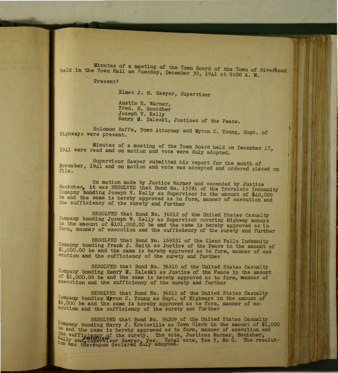Minutes of a meeting of the Town Board of the Town of Riverhead held in the Town Hall on Tuesday, December 30, 1941 at 9:00 A. M.

Present:

Elmer J. B. Sawyer, Supervisor

Austin H. Warner, Fred. H. Boutcher Joseph V. Kelly Henry M. Zaleski, Justices of the Peace.

Solomon Raffe, Town Attorney and Myron C. Young, Supt. of Highways were present.

Minutes of a meeting of the Town Board held on December 17, 1941 were read and on motion and vote were duly adopted.

Supervisor Sawyer submitted his report for the month of November, 1941 and on motion and vote was accepted and ordered placed on file .

On motion made by Justice Warner and seconded by Justice Boutcher, it was RESOLVED that Bond No. 15581 of the Travelers Indemnity Comapny bonding Joseph V. Kelly as Supervisor in the amount of \$40,000 be and the same is hereby approved as to form, manner of execution and the sufficiency of the surety and further

RESOLVED that Bond No. 36212 of the United States Casualty Company bonding Joseph V. Kelly as Supervisor covering Highway moneys in the amount of \$101,000.00 be and the same is hereby approved as to form, manner of execution and the sufficiency of the surety and further

RESOLVED that Bond No. 169251 of the Glens Falls Indemnity Comapny bonding Frank J. Smith as Justice of the Peace in the amount of  $1,000.00$  be and the same is hereby approved as to form, manner of execution and the sufficiency of the surety and further

RESOLVED that Bond No. 36210 of the United States Casualty Company bonding Henry M. Zaleski as Justice of the Peace in the amount of \$1,000.00 be and the same is hereby approved as to form, manner of execution and the sufficiency of the surety and further

RESOLVED that Bond No. 36211 of the United States Casualty Company bonding M7ron C. Young as Supt. of Highways in the amount of \$2,000 be and the same is hereby approved as to form, manner of execution and the sufficiency of the surety and further

RESOLVED that Bond No. 36209 of the United States Casualty Company bonding Harry J. Kratoville as Town Clerk in the amount of \$1,000 be and the same is hereby approved as to form, manner of execution and the sufficiency of the surety. The vote, Justices Warner, Boutcher, \*elly and Supervisor Sawyer, Yes. Total vote, Yes 5, No 0. The resolutlon was thereupon declared duly adopted.